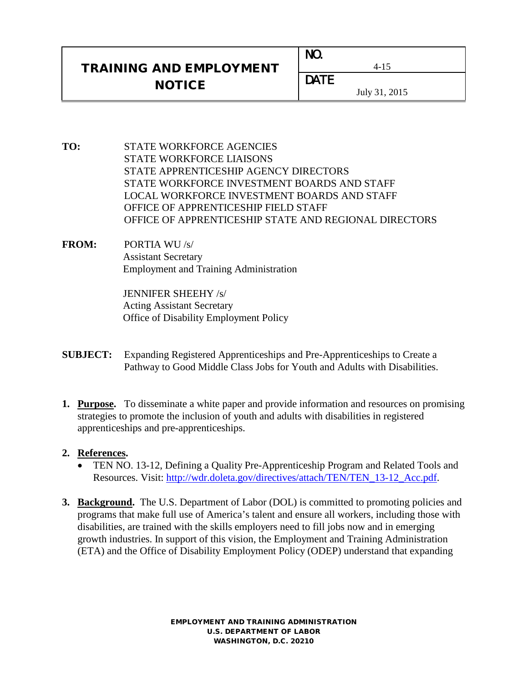## TRAINING AND EMPLOYMENT **NOTICE**

| NO.         |        |
|-------------|--------|
| <b>DATE</b> | L., 1. |

July 31, 2015

4-15

- **TO:** STATE WORKFORCE AGENCIES STATE WORKFORCE LIAISONS STATE APPRENTICESHIP AGENCY DIRECTORS STATE WORKFORCE INVESTMENT BOARDS AND STAFF LOCAL WORKFORCE INVESTMENT BOARDS AND STAFF OFFICE OF APPRENTICESHIP FIELD STAFF OFFICE OF APPRENTICESHIP STATE AND REGIONAL DIRECTORS
- **FROM:** PORTIA WU /s/ Assistant Secretary Employment and Training Administration

JENNIFER SHEEHY /s/ Acting Assistant Secretary Office of Disability Employment Policy

- **SUBJECT:** Expanding Registered Apprenticeships and Pre-Apprenticeships to Create a Pathway to Good Middle Class Jobs for Youth and Adults with Disabilities.
- **1. Purpose.** To disseminate a white paper and provide information and resources on promising strategies to promote the inclusion of youth and adults with disabilities in registered apprenticeships and pre-apprenticeships.

## **2. References.**

- TEN NO. 13-12, Defining a Quality Pre-Apprenticeship Program and Related Tools and Resources. Visit: http://wdr.doleta.gov/directives/attach/TEN/TEN 13-12 Acc.pdf.
- **3. Background.** The U.S. Department of Labor (DOL) is committed to promoting policies and programs that make full use of America's talent and ensure all workers, including those with disabilities, are trained with the skills employers need to fill jobs now and in emerging growth industries. In support of this vision, the Employment and Training Administration (ETA) and the Office of Disability Employment Policy (ODEP) understand that expanding

EMPLOYMENT AND TRAINING ADMINISTRATION U.S. DEPARTMENT OF LABOR WASHINGTON, D.C. 20210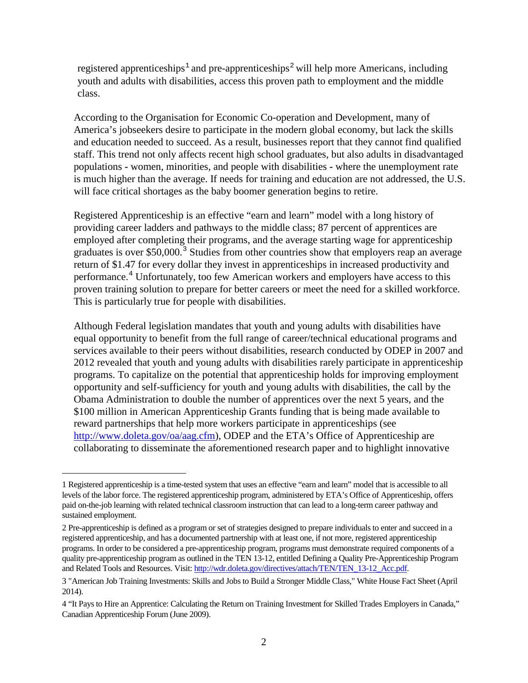registered apprenticeships<sup>[1](#page-1-0)</sup> and pre-apprenticeships<sup>[2](#page-1-1)</sup> will help more Americans, including youth and adults with disabilities, access this proven path to employment and the middle class.

According to the Organisation for Economic Co-operation and Development, many of America's jobseekers desire to participate in the modern global economy, but lack the skills and education needed to succeed. As a result, businesses report that they cannot find qualified staff. This trend not only affects recent high school graduates, but also adults in disadvantaged populations **-** women, minorities, and people with disabilities **-** where the unemployment rate is much higher than the average. If needs for training and education are not addressed, the U.S. will face critical shortages as the baby boomer generation begins to retire.

Registered Apprenticeship is an effective "earn and learn" model with a long history of providing career ladders and pathways to the middle class; 87 percent of apprentices are employed after completing their programs, and the average starting wage for apprenticeship graduates is over \$50,000.<sup>[3](#page-1-2)</sup> Studies from other countries show that employers reap an average return of \$1.47 for every dollar they invest in apprenticeships in increased productivity and performance.<sup>[4](#page-1-3)</sup> Unfortunately, too few American workers and employers have access to this proven training solution to prepare for better careers or meet the need for a skilled workforce. This is particularly true for people with disabilities.

Although Federal legislation mandates that youth and young adults with disabilities have equal opportunity to benefit from the full range of career/technical educational programs and services available to their peers without disabilities, research conducted by ODEP in 2007 and 2012 revealed that youth and young adults with disabilities rarely participate in apprenticeship programs. To capitalize on the potential that apprenticeship holds for improving employment opportunity and self-sufficiency for youth and young adults with disabilities, the call by the Obama Administration to double the number of apprentices over the next 5 years, and the \$100 million in American Apprenticeship Grants funding that is being made available to reward partnerships that help more workers participate in apprenticeships (see [http://www.doleta.gov/oa/aag.cfm\)](http://www.doleta.gov/oa/aag.cfm), ODEP and the ETA's Office of Apprenticeship are collaborating to disseminate the aforementioned research paper and to highlight innovative

Ĩ.

<span id="page-1-0"></span><sup>1</sup> Registered apprenticeship is a time-tested system that uses an effective "earn and learn" model that is accessible to all levels of the labor force. The registered apprenticeship program, administered by ETA's Office of Apprenticeship, offers paid on-the-job learning with related technical classroom instruction that can lead to a long-term career pathway and sustained employment.

<span id="page-1-1"></span><sup>2</sup> Pre-apprenticeship is defined as a program or set of strategies designed to prepare individuals to enter and succeed in a registered apprenticeship, and has a documented partnership with at least one, if not more, registered apprenticeship programs. In order to be considered a pre-apprenticeship program, programs must demonstrate required components of a quality pre-apprenticeship program as outlined in the TEN 13-12, entitled Defining a Quality Pre-Apprenticeship Program and Related Tools and Resources. Visit[: http://wdr.doleta.gov/directives/attach/TEN/TEN\\_13-12\\_Acc.pdf.](http://wdr.doleta.gov/directives/attach/TEN/TEN_13-12_Acc.pdf)

<span id="page-1-2"></span><sup>3 &</sup>quot;American Job Training Investments: Skills and Jobs to Build a Stronger Middle Class," White House Fact Sheet (April 2014).

<span id="page-1-3"></span><sup>4 &</sup>quot;It Pays to Hire an Apprentice: Calculating the Return on Training Investment for Skilled Trades Employers in Canada," Canadian Apprenticeship Forum (June 2009).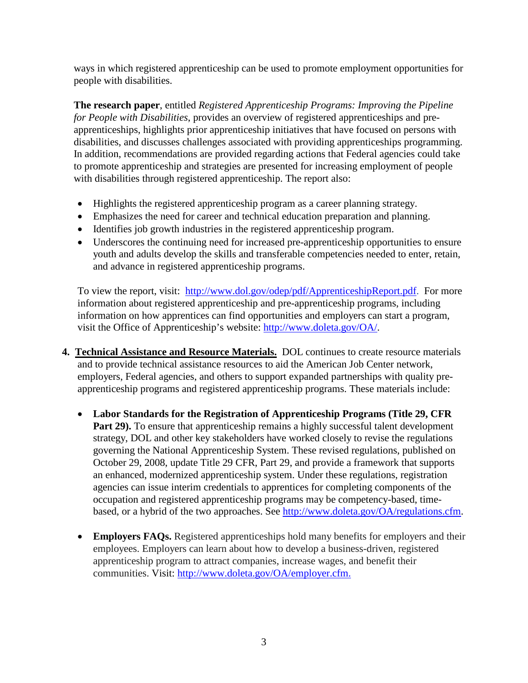ways in which registered apprenticeship can be used to promote employment opportunities for people with disabilities.

**The research paper**, entitled *Registered Apprenticeship Programs: Improving the Pipeline for People with Disabilities*, provides an overview of registered apprenticeships and preapprenticeships, highlights prior apprenticeship initiatives that have focused on persons with disabilities, and discusses challenges associated with providing apprenticeships programming. In addition, recommendations are provided regarding actions that Federal agencies could take to promote apprenticeship and strategies are presented for increasing employment of people with disabilities through registered apprenticeship. The report also:

- Highlights the registered apprenticeship program as a career planning strategy.
- Emphasizes the need for career and technical education preparation and planning.
- Identifies job growth industries in the registered apprenticeship program.
- Underscores the continuing need for increased pre-apprenticeship opportunities to ensure youth and adults develop the skills and transferable competencies needed to enter, retain, and advance in registered apprenticeship programs.

To view the report, visit: [http://www.dol.gov/odep/pdf/ApprenticeshipReport.pdf.](http://www.dol.gov/odep/pdf/ApprenticeshipReport.pdf) For more information about registered apprenticeship and pre-apprenticeship programs, including information on how apprentices can find opportunities and employers can start a program, visit the Office of Apprenticeship's website: [http://www.doleta.gov/OA/.](http://www.doleta.gov/OA/)

- **4. Technical Assistance and Resource Materials.** DOL continues to create resource materials and to provide technical assistance resources to aid the American Job Center network, employers, Federal agencies, and others to support expanded partnerships with quality preapprenticeship programs and registered apprenticeship programs. These materials include:
	- **Labor Standards for the Registration of Apprenticeship Programs (Title 29, CFR**  Part 29). To ensure that apprenticeship remains a highly successful talent development strategy, DOL and other key stakeholders have worked closely to revise the regulations governing the National Apprenticeship System. These revised regulations, published on October 29, 2008, update Title 29 CFR, Part 29, and provide a framework that supports an enhanced, modernized apprenticeship system. Under these regulations, registration agencies can issue interim credentials to apprentices for completing components of the occupation and registered apprenticeship programs may be competency-based, timebased, or a hybrid of the two approaches. See [http://www.doleta.gov/OA/regulations.cfm.](http://www.doleta.gov/OA/regulations.cfm)
	- **Employers FAQs.** Registered apprenticeships hold many benefits for employers and their employees. Employers can learn about how to develop a business-driven, registered apprenticeship program to attract companies, increase wages, and benefit their communities. Visit: http://www.doleta.gov/OA/employer.cfm.